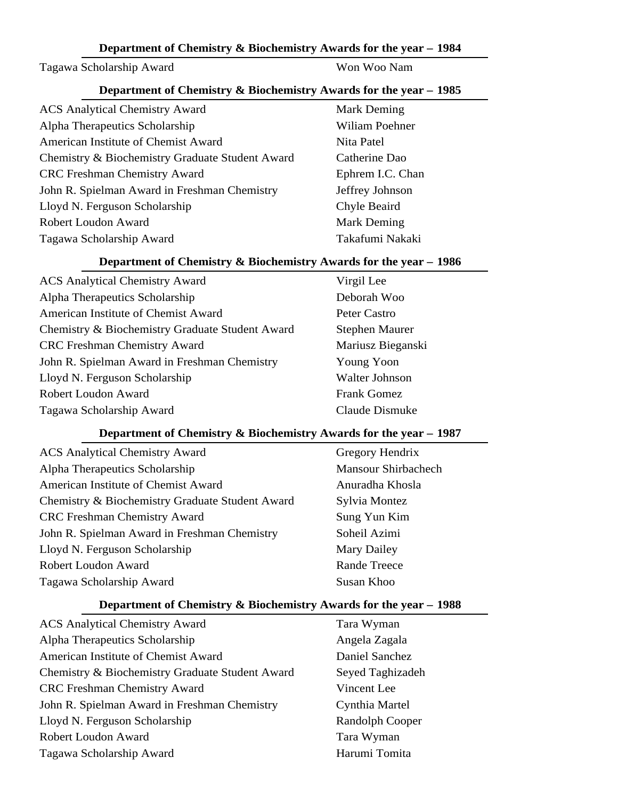#### Tagawa Scholarship Award Woo Nam

#### **Department of Chemistry & Biochemistry Awards for the year – 1985**

| <b>ACS Analytical Chemistry Award</b>           | <b>Mark Deming</b> |
|-------------------------------------------------|--------------------|
| Alpha Therapeutics Scholarship                  | Wiliam Poehner     |
| American Institute of Chemist Award             | Nita Patel         |
| Chemistry & Biochemistry Graduate Student Award | Catherine Dao      |
| <b>CRC</b> Freshman Chemistry Award             | Ephrem I.C. Chan   |
| John R. Spielman Award in Freshman Chemistry    | Jeffrey Johnson    |
| Lloyd N. Ferguson Scholarship                   | Chyle Beaird       |
| Robert Loudon Award                             | <b>Mark Deming</b> |
| Tagawa Scholarship Award                        | Takafumi Nakaki    |

#### **Department of Chemistry & Biochemistry Awards for the year – 1986**

ACS Analytical Chemistry Award Virgil Lee Alpha Therapeutics Scholarship Deborah Woo American Institute of Chemist Award Peter Castro Chemistry & Biochemistry Graduate Student Award Stephen Maurer CRC Freshman Chemistry Award Mariusz Bieganski John R. Spielman Award in Freshman Chemistry Young Yoon Lloyd N. Ferguson Scholarship Walter Johnson Robert Loudon Award Frank Gomez Tagawa Scholarship Award Claude Dismuke

## **Department of Chemistry & Biochemistry Awards for the year – 1987**

| <b>ACS</b> Analytical Chemistry Award           |
|-------------------------------------------------|
| Alpha Therapeutics Scholarship                  |
| American Institute of Chemist Award             |
| Chemistry & Biochemistry Graduate Student Award |
| <b>CRC</b> Freshman Chemistry Award             |
| John R. Spielman Award in Freshman Chemistry    |
| Lloyd N. Ferguson Scholarship                   |
| Robert Loudon Award                             |
| Tagawa Scholarship Award                        |

Gregory Hendrix Mansour Shirbachech Anuradha Khosla Sylvia Montez Sung Yun Kim Soheil Azimi Mary Dailey Rande Treece Susan Khoo

#### **Department of Chemistry & Biochemistry Awards for the year – 1988**

| <b>ACS</b> Analytical Chemistry Award           |
|-------------------------------------------------|
| Alpha Therapeutics Scholarship                  |
| American Institute of Chemist Award             |
| Chemistry & Biochemistry Graduate Student Award |
| <b>CRC</b> Freshman Chemistry Award             |
| John R. Spielman Award in Freshman Chemistry    |
| Lloyd N. Ferguson Scholarship                   |
| Robert Loudon Award                             |
| Tagawa Scholarship Award                        |

Tara Wyman Angela Zagala Daniel Sanchez Seyed Taghizadeh Vincent Lee Cynthia Martel Randolph Cooper Tara Wyman Harumi Tomita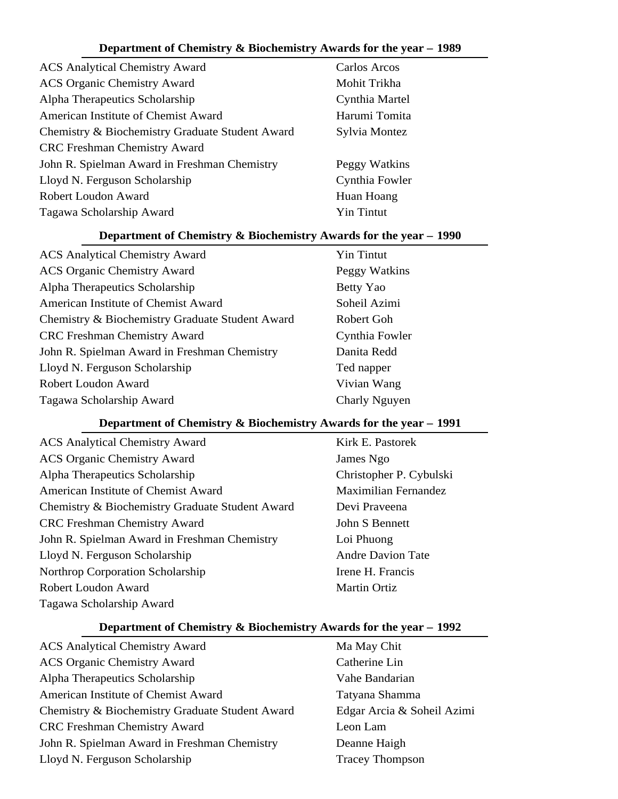| <b>ACS</b> Analytical Chemistry Award           | Carlos Arcos      |
|-------------------------------------------------|-------------------|
| <b>ACS Organic Chemistry Award</b>              | Mohit Trikha      |
| Alpha Therapeutics Scholarship                  | Cynthia Martel    |
| American Institute of Chemist Award             | Harumi Tomita     |
| Chemistry & Biochemistry Graduate Student Award | Sylvia Montez     |
| <b>CRC</b> Freshman Chemistry Award             |                   |
| John R. Spielman Award in Freshman Chemistry    | Peggy Watkins     |
| Lloyd N. Ferguson Scholarship                   | Cynthia Fowler    |
| <b>Robert Loudon Award</b>                      | Huan Hoang        |
| Tagawa Scholarship Award                        | <b>Yin Tintut</b> |

# **Department of Chemistry & Biochemistry Awards for the year – 1990**

| <b>ACS Analytical Chemistry Award</b>           | <b>Yin Tintut</b> |
|-------------------------------------------------|-------------------|
| <b>ACS Organic Chemistry Award</b>              | Peggy Watkins     |
| Alpha Therapeutics Scholarship                  | Betty Yao         |
| American Institute of Chemist Award             | Soheil Azimi      |
| Chemistry & Biochemistry Graduate Student Award | Robert Goh        |
| <b>CRC</b> Freshman Chemistry Award             | Cynthia Fowler    |
| John R. Spielman Award in Freshman Chemistry    | Danita Redd       |
| Lloyd N. Ferguson Scholarship                   | Ted napper        |
| Robert Loudon Award                             | Vivian Wang       |
| Tagawa Scholarship Award                        | Charly Nguyen     |

# **Department of Chemistry & Biochemistry Awards for the year – 1991**

| <b>ACS</b> Analytical Chemistry Award           |
|-------------------------------------------------|
| <b>ACS Organic Chemistry Award</b>              |
| Alpha Therapeutics Scholarship                  |
| American Institute of Chemist Award             |
| Chemistry & Biochemistry Graduate Student Award |
| <b>CRC</b> Freshman Chemistry Award             |
| John R. Spielman Award in Freshman Chemistry    |
| Lloyd N. Ferguson Scholarship                   |
| Northrop Corporation Scholarship                |
| Robert Loudon Award                             |
| Tagawa Scholarship Award                        |

Kirk E. Pastorek James Ngo Christopher P. Cybulski Maximilian Fernandez Devi Praveena John S Bennett Loi Phuong Andre Davion Tate Irene H. Francis Martin Ortiz

| <b>ACS</b> Analytical Chemistry Award           | Ma May Chit                |
|-------------------------------------------------|----------------------------|
| <b>ACS Organic Chemistry Award</b>              | Catherine Lin              |
| Alpha Therapeutics Scholarship                  | Vahe Bandarian             |
| American Institute of Chemist Award             | Tatyana Shamma             |
| Chemistry & Biochemistry Graduate Student Award | Edgar Arcia & Soheil Azimi |
| <b>CRC Freshman Chemistry Award</b>             | Leon Lam                   |
| John R. Spielman Award in Freshman Chemistry    | Deanne Haigh               |
| Lloyd N. Ferguson Scholarship                   | <b>Tracey Thompson</b>     |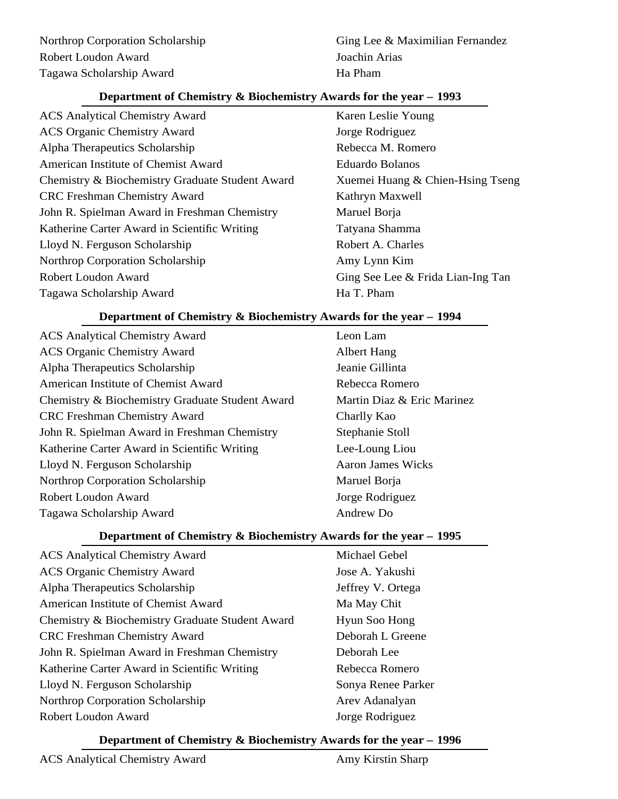ACS Analytical Chemistry Award Karen Leslie Young ACS Organic Chemistry Award Jorge Rodriguez Alpha Therapeutics Scholarship **Rebecca M. Romero** Rebecca M. Romero American Institute of Chemist Award Eduardo Bolanos Chemistry & Biochemistry Graduate Student Award Xuemei Huang & Chien-Hsing Tseng CRC Freshman Chemistry Award Kathryn Maxwell John R. Spielman Award in Freshman Chemistry Maruel Borja Katherine Carter Award in Scientific Writing Tatyana Shamma Lloyd N. Ferguson Scholarship Robert A. Charles Northrop Corporation Scholarship Amy Lynn Kim Robert Loudon Award Ging See Lee & Frida Lian-Ing Tan Tagawa Scholarship Award Ha T. Pham

# **Department of Chemistry & Biochemistry Awards for the year – 1994**

ACS Analytical Chemistry Award Leon Lam ACS Organic Chemistry Award Albert Hang Alpha Therapeutics Scholarship Jeanie Gillinta American Institute of Chemist Award **Rebecca Romero** Chemistry & Biochemistry Graduate Student Award Martin Diaz & Eric Marinez CRC Freshman Chemistry Award Charlly Kao John R. Spielman Award in Freshman Chemistry Stephanie Stoll Katherine Carter Award in Scientific Writing Lee-Loung Liou Lloyd N. Ferguson Scholarship **Aaron James Wicks** Aaron James Wicks Northrop Corporation Scholarship Maruel Borja Robert Loudon Award **Iones Exercise Solution** Jorge Rodriguez Tagawa Scholarship Award Andrew Do

# **Department of Chemistry & Biochemistry Awards for the year – 1995**

ACS Analytical Chemistry Award Michael Gebel ACS Organic Chemistry Award Jose A. Yakushi Alpha Therapeutics Scholarship Jeffrey V. Ortega American Institute of Chemist Award Ma May Chit Chemistry & Biochemistry Graduate Student Award Hyun Soo Hong CRC Freshman Chemistry Award Deborah L Greene John R. Spielman Award in Freshman Chemistry Deborah Lee Katherine Carter Award in Scientific Writing Theorem Rebecca Romero Lloyd N. Ferguson Scholarship Sonya Renee Parker Northrop Corporation Scholarship Arev Adanalyan Robert Loudon Award Jorge Rodriguez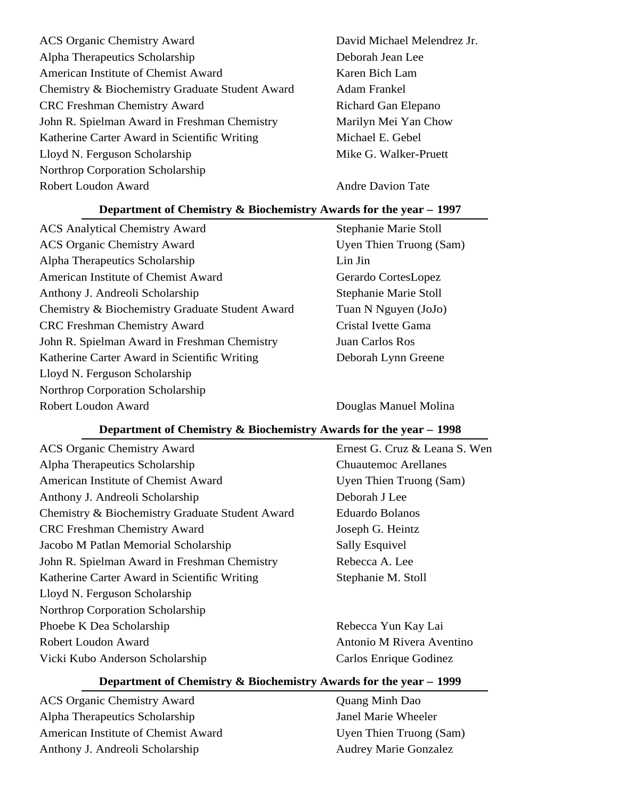ACS Organic Chemistry Award David Michael Melendrez Jr. Alpha Therapeutics Scholarship Deborah Jean Lee American Institute of Chemist Award Karen Bich Lam Chemistry & Biochemistry Graduate Student Award Adam Frankel CRC Freshman Chemistry Award Richard Gan Elepano John R. Spielman Award in Freshman Chemistry Marilyn Mei Yan Chow Katherine Carter Award in Scientific Writing Michael E. Gebel Lloyd N. Ferguson Scholarship **Mike G. Walker-Pruett** Northrop Corporation Scholarship Robert Loudon Award Andre Davion Tate

## **Department of Chemistry & Biochemistry Awards for the year – 1997**

ACS Analytical Chemistry Award Stephanie Marie Stoll ACS Organic Chemistry Award Uyen Thien Truong (Sam) Alpha Therapeutics Scholarship Lin Jin American Institute of Chemist Award Gerardo CortesLopez Anthony J. Andreoli Scholarship Stephanie Marie Stoll Chemistry & Biochemistry Graduate Student Award Tuan N Nguyen (JoJo) CRC Freshman Chemistry Award Cristal Ivette Gama John R. Spielman Award in Freshman Chemistry Juan Carlos Ros Katherine Carter Award in Scientific Writing Deborah Lynn Greene Lloyd N. Ferguson Scholarship Northrop Corporation Scholarship Robert Loudon Award **Douglas Manuel Molina** 

## **Department of Chemistry & Biochemistry Awards for the year – 1998**

ACS Organic Chemistry Award Ernest G. Cruz & Leana S. Wen Alpha Therapeutics Scholarship Chuautemoc Arellanes American Institute of Chemist Award Uyen Thien Truong (Sam) Anthony J. Andreoli Scholarship Deborah J Lee Chemistry & Biochemistry Graduate Student Award Eduardo Bolanos CRC Freshman Chemistry Award Joseph G. Heintz Jacobo M Patlan Memorial Scholarship Sally Esquivel John R. Spielman Award in Freshman Chemistry Rebecca A. Lee Katherine Carter Award in Scientific Writing Stephanie M. Stoll Lloyd N. Ferguson Scholarship Northrop Corporation Scholarship Phoebe K Dea Scholarship **Rebecca** Yun Kay Lai Robert Loudon Award **Antonio M Rivera Aventino** Vicki Kubo Anderson Scholarship Carlos Enrique Godinez

# **Department of Chemistry & Biochemistry Awards for the year – 1999**

ACS Organic Chemistry Award **Quang Minh Dao** Alpha Therapeutics Scholarship Supersection of the Janel Marie Wheeler American Institute of Chemist Award Uyen Thien Truong (Sam) Anthony J. Andreoli Scholarship Audrey Marie Gonzalez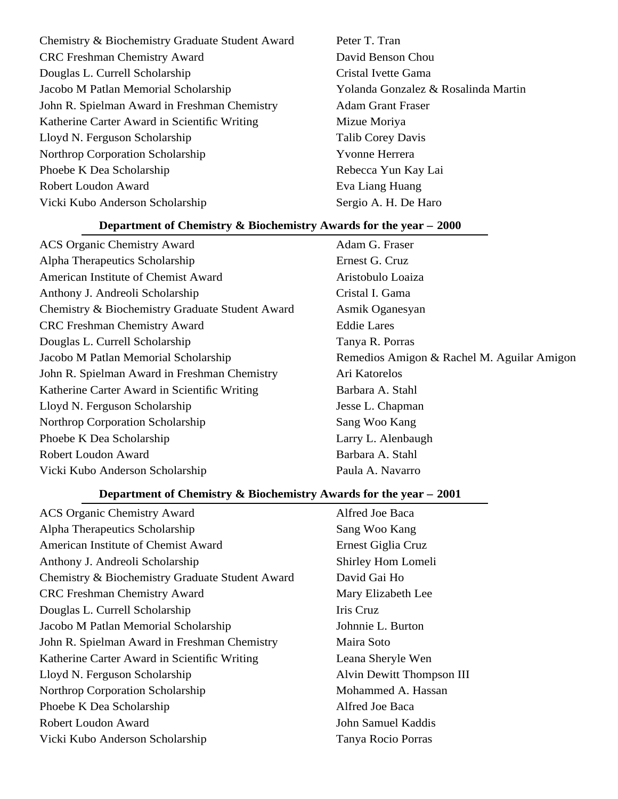| Chemistry & Biochemistry Graduate Student Award |
|-------------------------------------------------|
| <b>CRC</b> Freshman Chemistry Award             |
| Douglas L. Currell Scholarship                  |
| Jacobo M Patlan Memorial Scholarship            |
| John R. Spielman Award in Freshman Chemistry    |
| Katherine Carter Award in Scientific Writing    |
| Lloyd N. Ferguson Scholarship                   |
| <b>Northrop Corporation Scholarship</b>         |
| Phoebe K Dea Scholarship                        |
| Robert Loudon Award                             |
| Vicki Kubo Anderson Scholarship                 |
|                                                 |

Peter T. Tran David Benson Chou Cristal Ivette Gama Yolanda Gonzalez & Rosalinda Martin Adam Grant Fraser Mizue Moriya Talib Corey Davis Yvonne Herrera Rebecca Yun Kay Lai Eva Liang Huang Sergio A. H. De Haro

# **Department of Chemistry & Biochemistry Awards for the year – 2000**

| <b>ACS Organic Chemistry Award</b>              | Adam G. Fraser                             |
|-------------------------------------------------|--------------------------------------------|
| Alpha Therapeutics Scholarship                  | Ernest G. Cruz                             |
| American Institute of Chemist Award             | Aristobulo Loaiza                          |
| Anthony J. Andreoli Scholarship                 | Cristal I. Gama                            |
| Chemistry & Biochemistry Graduate Student Award | Asmik Oganesyan                            |
| <b>CRC</b> Freshman Chemistry Award             | <b>Eddie Lares</b>                         |
| Douglas L. Currell Scholarship                  | Tanya R. Porras                            |
| Jacobo M Patlan Memorial Scholarship            | Remedios Amigon & Rachel M. Aguilar Amigon |
| John R. Spielman Award in Freshman Chemistry    | Ari Katorelos                              |
| Katherine Carter Award in Scientific Writing    | Barbara A. Stahl                           |
| Lloyd N. Ferguson Scholarship                   | Jesse L. Chapman                           |
| Northrop Corporation Scholarship                | Sang Woo Kang                              |
| Phoebe K Dea Scholarship                        | Larry L. Alenbaugh                         |
| Robert Loudon Award                             | Barbara A. Stahl                           |
| Vicki Kubo Anderson Scholarship                 | Paula A. Navarro                           |

| <b>ACS Organic Chemistry Award</b>              | Alfred Joe Baca           |
|-------------------------------------------------|---------------------------|
| Alpha Therapeutics Scholarship                  | Sang Woo Kang             |
| American Institute of Chemist Award             | Ernest Giglia Cruz        |
| Anthony J. Andreoli Scholarship                 | Shirley Hom Lomeli        |
| Chemistry & Biochemistry Graduate Student Award | David Gai Ho              |
| <b>CRC</b> Freshman Chemistry Award             | Mary Elizabeth Lee        |
| Douglas L. Currell Scholarship                  | Iris Cruz                 |
| Jacobo M Patlan Memorial Scholarship            | Johnnie L. Burton         |
| John R. Spielman Award in Freshman Chemistry    | Maira Soto                |
| Katherine Carter Award in Scientific Writing    | Leana Sheryle Wen         |
| Lloyd N. Ferguson Scholarship                   | Alvin Dewitt Thompson III |
| Northrop Corporation Scholarship                | Mohammed A. Hassan        |
| Phoebe K Dea Scholarship                        | Alfred Joe Baca           |
| <b>Robert Loudon Award</b>                      | John Samuel Kaddis        |
| Vicki Kubo Anderson Scholarship                 | Tanya Rocio Porras        |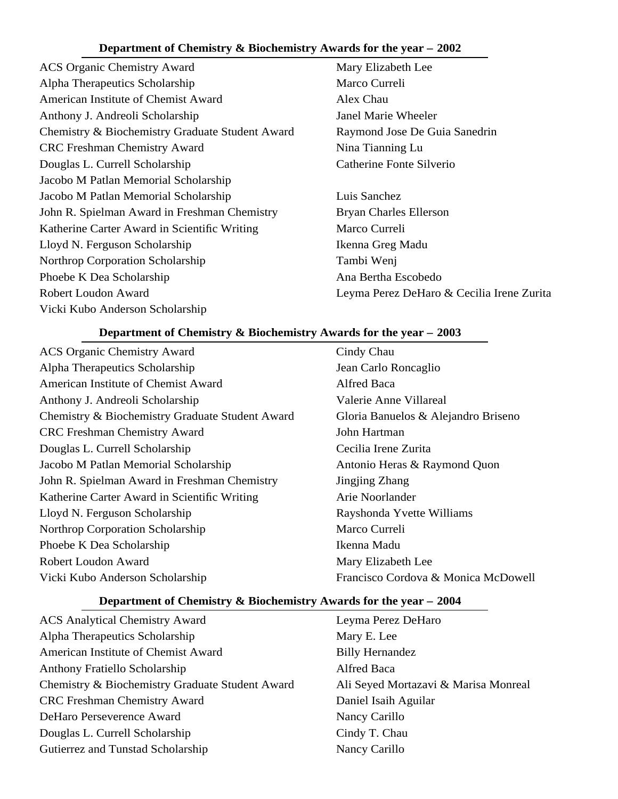- ACS Organic Chemistry Award Mary Elizabeth Lee Alpha Therapeutics Scholarship Marco Curreli American Institute of Chemist Award Alex Chau Anthony J. Andreoli Scholarship Janel Marie Wheeler Chemistry & Biochemistry Graduate Student Award Raymond Jose De Guia Sanedrin CRC Freshman Chemistry Award Nina Tianning Lu Douglas L. Currell Scholarship Catherine Fonte Silverio Jacobo M Patlan Memorial Scholarship Jacobo M Patlan Memorial Scholarship Luis Sanchez John R. Spielman Award in Freshman Chemistry Bryan Charles Ellerson Katherine Carter Award in Scientific Writing Marco Curreli Lloyd N. Ferguson Scholarship Ikenna Greg Madu Northrop Corporation Scholarship Tambi Wenj Phoebe K Dea Scholarship Ana Bertha Escobedo Robert Loudon Award Leyma Perez DeHaro & Cecilia Irene Zurita Vicki Kubo Anderson Scholarship
- -

## **Department of Chemistry & Biochemistry Awards for the year – 2003**

- ACS Organic Chemistry Award Cindy Chau Alpha Therapeutics Scholarship Jean Carlo Roncaglio American Institute of Chemist Award **Alfred Baca** Anthony J. Andreoli Scholarship Valerie Anne Villareal Chemistry & Biochemistry Graduate Student Award Gloria Banuelos & Alejandro Briseno CRC Freshman Chemistry Award John Hartman Douglas L. Currell Scholarship Cecilia Irene Zurita Jacobo M Patlan Memorial Scholarship Antonio Heras & Raymond Quon John R. Spielman Award in Freshman Chemistry Jingjing Zhang Katherine Carter Award in Scientific Writing Arie Noorlander Lloyd N. Ferguson Scholarship Rayshonda Yvette Williams Northrop Corporation Scholarship Marco Curreli Phoebe K Dea Scholarship **Ikenna Madu** Robert Loudon Award Mary Elizabeth Lee Vicki Kubo Anderson Scholarship Francisco Cordova & Monica McDowell
- 

- ACS Analytical Chemistry Award Leyma Perez DeHaro Alpha Therapeutics Scholarship Mary E. Lee American Institute of Chemist Award Billy Hernandez Anthony Fratiello Scholarship Alfred Baca Chemistry & Biochemistry Graduate Student Award Ali Seyed Mortazavi & Marisa Monreal CRC Freshman Chemistry Award Daniel Isaih Aguilar DeHaro Perseverence Award Nancy Carillo Douglas L. Currell Scholarship Cindy T. Chau Gutierrez and Tunstad Scholarship Nancy Carillo
-